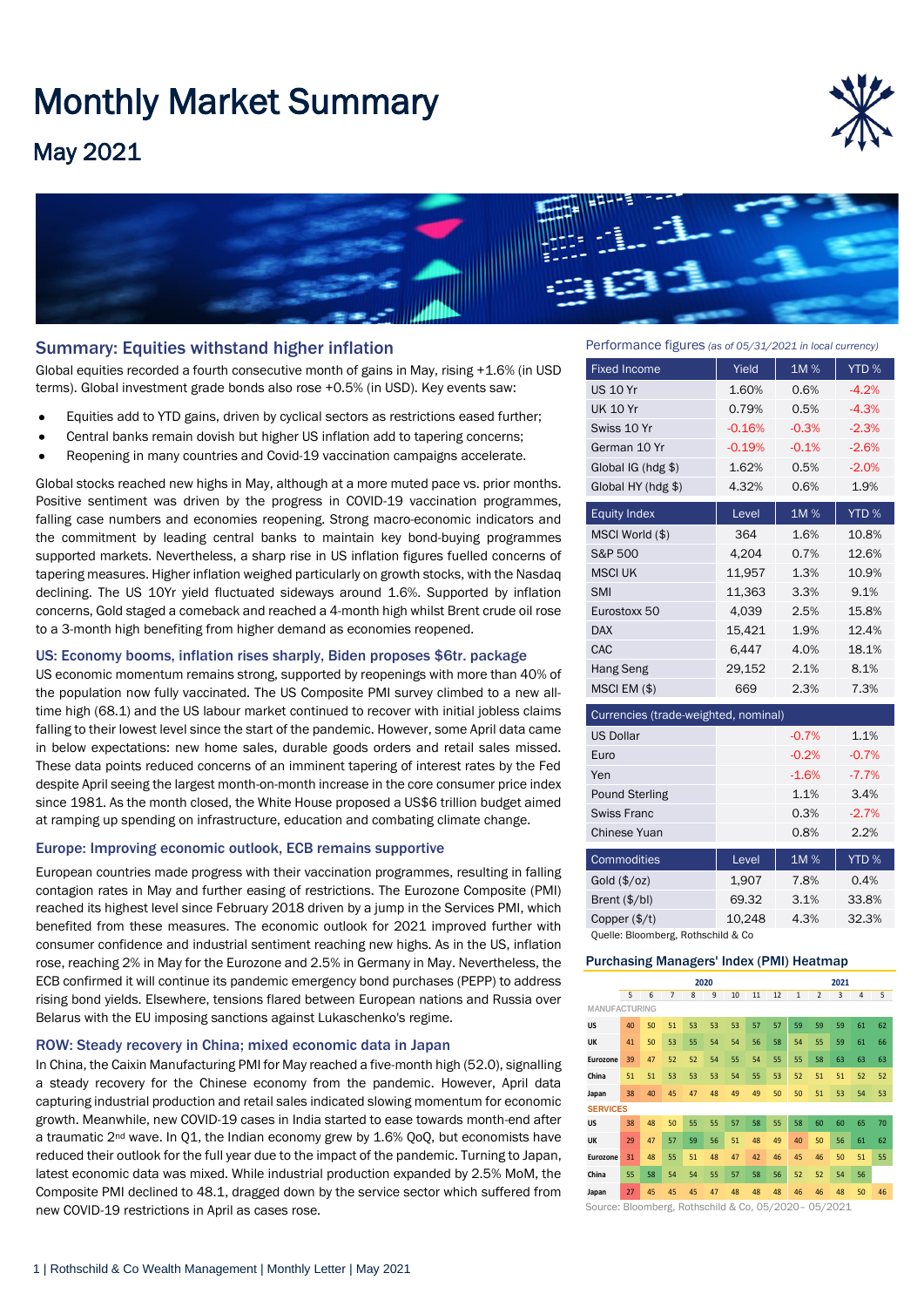# Monthly Market Summary

## May 2021





#### Summary: Equities withstand higher inflation

Global equities recorded a fourth consecutive month of gains in May, rising +1.6% (in USD terms). Global investment grade bonds also rose +0.5% (in USD). Key events saw:

- Equities add to YTD gains, driven by cyclical sectors as restrictions eased further;
- Central banks remain dovish but higher US inflation add to tapering concerns;
- Reopening in many countries and Covid-19 vaccination campaigns accelerate.

Global stocks reached new highs in May, although at a more muted pace vs. prior months. Positive sentiment was driven by the progress in COVID-19 vaccination programmes, falling case numbers and economies reopening. Strong macro-economic indicators and the commitment by leading central banks to maintain key bond-buying programmes supported markets. Nevertheless, a sharp rise in US inflation figures fuelled concerns of tapering measures. Higher inflation weighed particularly on growth stocks, with the Nasdaq declining. The US 10Yr yield fluctuated sideways around 1.6%. Supported by inflation concerns, Gold staged a comeback and reached a 4-month high whilst Brent crude oil rose to a 3-month high benefiting from higher demand as economies reopened.

#### US: Economy booms, inflation rises sharply, Biden proposes \$6tr. package

US economic momentum remains strong, supported by reopenings with more than 40% of the population now fully vaccinated. The US Composite PMI survey climbed to a new alltime high (68.1) and the US labour market continued to recover with initial jobless claims falling to their lowest level since the start of the pandemic. However, some April data came in below expectations: new home sales, durable goods orders and retail sales missed. These data points reduced concerns of an imminent tapering of interest rates by the Fed despite April seeing the largest month-on-month increase in the core consumer price index since 1981. As the month closed, the White House proposed a US\$6 trillion budget aimed at ramping up spending on infrastructure, education and combating climate change.

#### Europe: Improving economic outlook, ECB remains supportive

European countries made progress with their vaccination programmes, resulting in falling contagion rates in May and further easing of restrictions. The Eurozone Composite (PMI) reached its highest level since February 2018 driven by a jump in the Services PMI, which benefited from these measures. The economic outlook for 2021 improved further with consumer confidence and industrial sentiment reaching new highs. As in the US, inflation rose, reaching 2% in May for the Eurozone and 2.5% in Germany in May. Nevertheless, the ECB confirmed it will continue its pandemic emergency bond purchases (PEPP) to address rising bond yields. Elsewhere, tensions flared between European nations and Russia over Belarus with the EU imposing sanctions against Lukaschenko's regime.

#### ROW: Steady recovery in China; mixed economic data in Japan

In China, the Caixin Manufacturing PMI for May reached a five-month high (52.0), signalling a steady recovery for the Chinese economy from the pandemic. However, April data capturing industrial production and retail sales indicated slowing momentum for economic growth. Meanwhile, new COVID-19 cases in India started to ease towards month-end after a traumatic 2nd wave. In Q1, the Indian economy grew by 1.6% QoQ, but economists have reduced their outlook for the full year due to the impact of the pandemic. Turning to Japan, latest economic data was mixed. While industrial production expanded by 2.5% MoM, the Composite PMI declined to 48.1, dragged down by the service sector which suffered from new COVID-19 restrictions in April as cases rose.

Performance figures *(as of 05/31/2021 in local currency)*

| <b>Fixed Income</b>                  | Yield    | 1M%     | YTD <sub>%</sub> |  |  |  |  |  |
|--------------------------------------|----------|---------|------------------|--|--|--|--|--|
| <b>US 10 Yr</b>                      | 1.60%    | 0.6%    | $-4.2%$          |  |  |  |  |  |
| <b>UK 10 Yr</b>                      | 0.79%    | 0.5%    | $-4.3%$          |  |  |  |  |  |
| Swiss 10 Yr                          | $-0.16%$ | $-0.3%$ | $-2.3%$          |  |  |  |  |  |
| German 10 Yr                         | $-0.19%$ | $-0.1%$ | $-2.6%$          |  |  |  |  |  |
| Global IG (hdg \$)                   | 1.62%    | 0.5%    | $-2.0%$          |  |  |  |  |  |
| Global HY (hdg \$)                   | 4.32%    | 0.6%    |                  |  |  |  |  |  |
| <b>Equity Index</b>                  | Level    | 1M%     | YTD %            |  |  |  |  |  |
| MSCI World (\$)                      | 364      | 1.6%    | 10.8%            |  |  |  |  |  |
| S&P 500                              | 4,204    | 0.7%    | 12.6%            |  |  |  |  |  |
| <b>MSCI UK</b>                       | 11,957   | 1.3%    | 10.9%            |  |  |  |  |  |
| <b>SMI</b>                           | 11,363   | 3.3%    | 9.1%             |  |  |  |  |  |
| Eurostoxx 50                         | 4,039    | 2.5%    | 15.8%            |  |  |  |  |  |
| <b>DAX</b>                           | 15,421   | 1.9%    | 12.4%            |  |  |  |  |  |
| CAC                                  | 6,447    | 4.0%    | 18.1%            |  |  |  |  |  |
| Hang Seng                            | 29,152   | 2.1%    | 8.1%             |  |  |  |  |  |
| MSCI EM (\$)                         | 669      | 2.3%    | 7.3%             |  |  |  |  |  |
| Currencies (trade-weighted, nominal) |          |         |                  |  |  |  |  |  |
| <b>US Dollar</b>                     |          | $-0.7%$ | 1.1%             |  |  |  |  |  |
| Euro                                 |          | $-0.2%$ | $-0.7%$          |  |  |  |  |  |
| Yen                                  |          | $-1.6%$ | $-7.7%$          |  |  |  |  |  |
| <b>Pound Sterling</b>                |          | 1.1%    | 3.4%             |  |  |  |  |  |

| <b>Swiss Franc</b>       |        | 0.3% | $-2.7%$ |
|--------------------------|--------|------|---------|
| Chinese Yuan             |        | 0.8% | 2.2%    |
| Commodities              | Level  | 1M % | YTD %   |
| Gold $(\frac{4}{2}$ /oz) | 1.907  | 7.8% | 0.4%    |
| Brent $(\frac{4}{b})$    | 69.32  | 3.1% | 33.8%   |
| Copper $(\frac{4}{t})$   | 10.248 | 4.3% | 32.3%   |

Quelle: Bloomberg, Rothschild & Co

#### Purchasing Managers' Index (PMI) Heatmap

|                                                         | 2020 |    |    |    |    |    | 2021 |    |                |                |    |                |    |
|---------------------------------------------------------|------|----|----|----|----|----|------|----|----------------|----------------|----|----------------|----|
|                                                         | 5    | 6  | 7  | 8  | 9  | 10 | 11   | 12 | $\overline{1}$ | $\overline{2}$ | 3  | $\overline{4}$ | 5  |
| <b>MANUFACTURING</b>                                    |      |    |    |    |    |    |      |    |                |                |    |                |    |
| <b>US</b>                                               | 40   | 50 | 51 | 53 | 53 | 53 | 57   | 57 | 59             | 59             | 59 | 61             | 62 |
| UK                                                      | 41   | 50 | 53 | 55 | 54 | 54 | 56   | 58 | 54             | 55             | 59 | 61             | 66 |
| Eurozone                                                | 39   | 47 | 52 | 52 | 54 | 55 | 54   | 55 | 55             | 58             | 63 | 63             | 63 |
| China                                                   | 51   | 51 | 53 | 53 | 53 | 54 | 55   | 53 | 52             | 51             | 51 | 52             | 52 |
| Japan                                                   | 38   | 40 | 45 | 47 | 48 | 49 | 49   | 50 | 50             | 51             | 53 | 54             | 53 |
| <b>SERVICES</b>                                         |      |    |    |    |    |    |      |    |                |                |    |                |    |
| US                                                      | 38   | 48 | 50 | 55 | 55 | 57 | 58   | 55 | 58             | 60             | 60 | 65             | 70 |
| UK                                                      | 29   | 47 | 57 | 59 | 56 | 51 | 48   | 49 | 40             | 50             | 56 | 61             | 62 |
| Eurozone                                                | 31   | 48 | 55 | 51 | 48 | 47 | 42   | 46 | 45             | 46             | 50 | 51             | 55 |
| China                                                   | 55   | 58 | 54 | 54 | 55 | 57 | 58   | 56 | 52             | 52             | 54 | 56             |    |
| Japan                                                   | 27   | 45 | 45 | 45 | 47 | 48 | 48   | 48 | 46             | 46             | 48 | 50             | 46 |
| Source: Bloomberg, Rothschild & Co. 05/2020-<br>05/2021 |      |    |    |    |    |    |      |    |                |                |    |                |    |